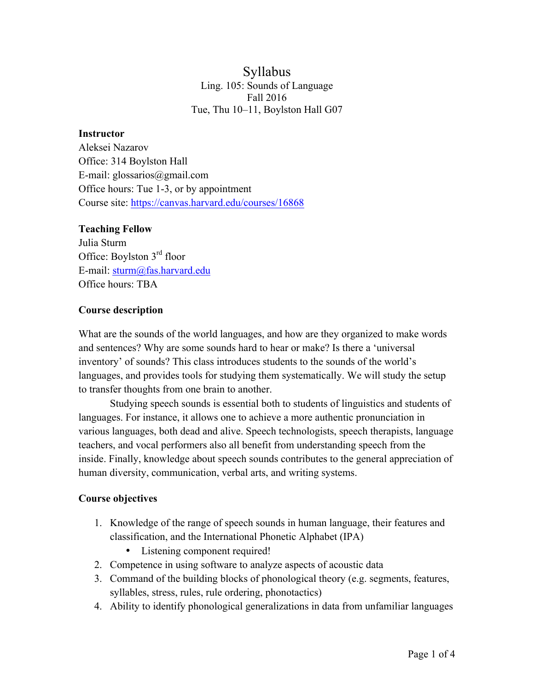## Syllabus Ling. 105: Sounds of Language Fall 2016 Tue, Thu 10–11, Boylston Hall G07

#### **Instructor**

Aleksei Nazarov Office: 314 Boylston Hall E-mail: glossarios@gmail.com Office hours: Tue 1-3, or by appointment Course site: https://canvas.harvard.edu/courses/16868

#### **Teaching Fellow**

Julia Sturm Office: Boylston 3rd floor E-mail: sturm@fas.harvard.edu Office hours: TBA

#### **Course description**

What are the sounds of the world languages, and how are they organized to make words and sentences? Why are some sounds hard to hear or make? Is there a 'universal inventory' of sounds? This class introduces students to the sounds of the world's languages, and provides tools for studying them systematically. We will study the setup to transfer thoughts from one brain to another.

Studying speech sounds is essential both to students of linguistics and students of languages. For instance, it allows one to achieve a more authentic pronunciation in various languages, both dead and alive. Speech technologists, speech therapists, language teachers, and vocal performers also all benefit from understanding speech from the inside. Finally, knowledge about speech sounds contributes to the general appreciation of human diversity, communication, verbal arts, and writing systems.

### **Course objectives**

- 1. Knowledge of the range of speech sounds in human language, their features and classification, and the International Phonetic Alphabet (IPA)
	- Listening component required!
- 2. Competence in using software to analyze aspects of acoustic data
- 3. Command of the building blocks of phonological theory (e.g. segments, features, syllables, stress, rules, rule ordering, phonotactics)
- 4. Ability to identify phonological generalizations in data from unfamiliar languages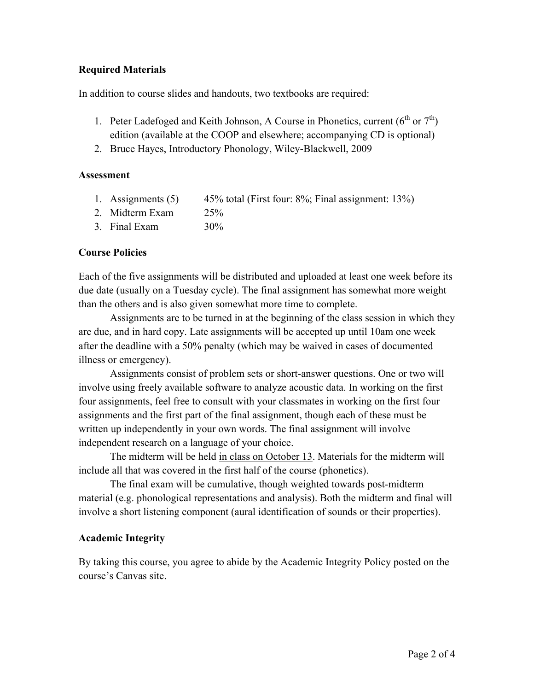### **Required Materials**

In addition to course slides and handouts, two textbooks are required:

- 1. Peter Ladefoged and Keith Johnson, A Course in Phonetics, current  $(6^{th}$  or  $7^{th}$ ) edition (available at the COOP and elsewhere; accompanying CD is optional)
- 2. Bruce Hayes, Introductory Phonology, Wiley-Blackwell, 2009

### **Assessment**

- 1. Assignments (5) 45% total (First four: 8%; Final assignment: 13%)
- 2. Midterm Exam 25%
- 3. Final Exam 30%

## **Course Policies**

Each of the five assignments will be distributed and uploaded at least one week before its due date (usually on a Tuesday cycle). The final assignment has somewhat more weight than the others and is also given somewhat more time to complete.

Assignments are to be turned in at the beginning of the class session in which they are due, and in hard copy. Late assignments will be accepted up until 10am one week after the deadline with a 50% penalty (which may be waived in cases of documented illness or emergency).

Assignments consist of problem sets or short-answer questions. One or two will involve using freely available software to analyze acoustic data. In working on the first four assignments, feel free to consult with your classmates in working on the first four assignments and the first part of the final assignment, though each of these must be written up independently in your own words. The final assignment will involve independent research on a language of your choice.

The midterm will be held in class on October 13. Materials for the midterm will include all that was covered in the first half of the course (phonetics).

The final exam will be cumulative, though weighted towards post-midterm material (e.g. phonological representations and analysis). Both the midterm and final will involve a short listening component (aural identification of sounds or their properties).

### **Academic Integrity**

By taking this course, you agree to abide by the Academic Integrity Policy posted on the course's Canvas site.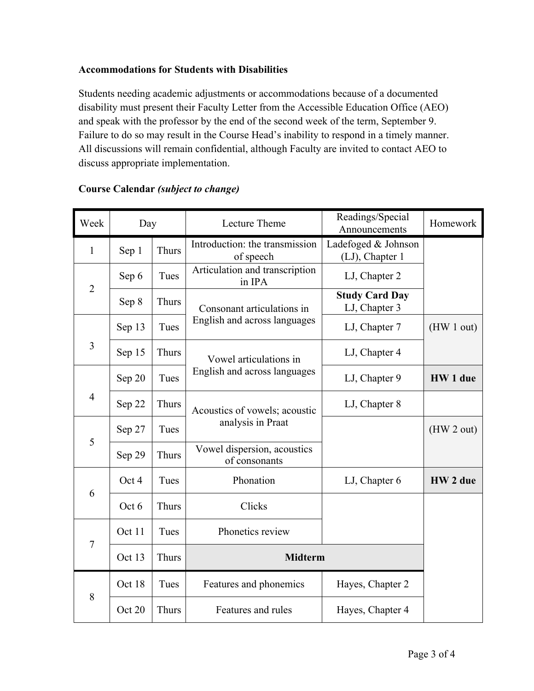## **Accommodations for Students with Disabilities**

Students needing academic adjustments or accommodations because of a documented disability must present their Faculty Letter from the Accessible Education Office (AEO) and speak with the professor by the end of the second week of the term, September 9. Failure to do so may result in the Course Head's inability to respond in a timely manner. All discussions will remain confidential, although Faculty are invited to contact AEO to discuss appropriate implementation.

| Week           | Day    |              | Lecture Theme                                              | Readings/Special<br>Announcements      | Homework   |
|----------------|--------|--------------|------------------------------------------------------------|----------------------------------------|------------|
| 1              | Sep 1  | Thurs        | Introduction: the transmission<br>of speech                | Ladefoged & Johnson<br>(LJ), Chapter 1 |            |
| $\overline{2}$ | Sep 6  | Tues         | Articulation and transcription<br>in IPA                   | LJ, Chapter 2                          |            |
|                | Sep 8  | Thurs        | Consonant articulations in<br>English and across languages | <b>Study Card Day</b><br>LJ, Chapter 3 |            |
| 3              | Sep 13 | Tues         |                                                            | LJ, Chapter 7                          | (HW 1 out) |
|                | Sep 15 | Thurs        | Vowel articulations in<br>English and across languages     | LJ, Chapter 4                          |            |
| $\overline{4}$ | Sep 20 | Tues         |                                                            | LJ, Chapter 9                          | HW 1 due   |
|                | Sep 22 | Thurs        | Acoustics of vowels; acoustic<br>analysis in Praat         | LJ, Chapter 8                          |            |
| 5              | Sep 27 | Tues         |                                                            |                                        | (HW 2 out) |
|                | Sep 29 | <b>Thurs</b> | Vowel dispersion, acoustics<br>of consonants               |                                        |            |
| 6              | Oct 4  | Tues         | Phonation                                                  | LJ, Chapter 6                          | HW 2 due   |
|                | Oct 6  | Thurs        | Clicks                                                     |                                        |            |
| $\overline{7}$ | Oct 11 | Tues         | Phonetics review                                           |                                        |            |
|                | Oct 13 | Thurs        | <b>Midterm</b>                                             |                                        |            |
| 8              | Oct 18 | Tues         | Features and phonemics                                     | Hayes, Chapter 2                       |            |
|                | Oct 20 | <b>Thurs</b> | Features and rules                                         | Hayes, Chapter 4                       |            |

# **Course Calendar** *(subject to change)*